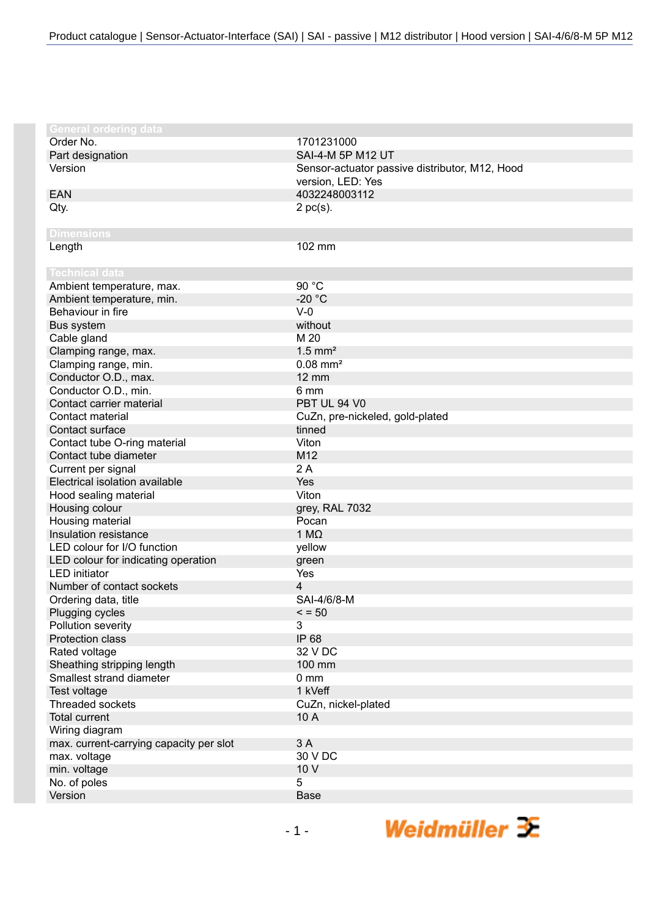| <b>General ordering data</b>             |                                                |
|------------------------------------------|------------------------------------------------|
| Order No.                                | 1701231000                                     |
| Part designation                         | SAI-4-M 5P M12 UT                              |
| Version                                  | Sensor-actuator passive distributor, M12, Hood |
|                                          | version, LED: Yes                              |
| <b>EAN</b>                               | 4032248003112                                  |
| Qty.                                     | $2$ pc(s).                                     |
|                                          |                                                |
| <b>Dimensions</b>                        |                                                |
| Length                                   | 102 mm                                         |
|                                          |                                                |
| <b>Technical data</b>                    |                                                |
| Ambient temperature, max.                | 90 °C                                          |
| Ambient temperature, min.                | $-20 °C$                                       |
| Behaviour in fire                        | $V-0$                                          |
| Bus system                               | without                                        |
| Cable gland                              | M 20                                           |
| Clamping range, max.                     | $1.5$ mm <sup>2</sup>                          |
| Clamping range, min.                     | $0.08$ mm <sup>2</sup>                         |
| Conductor O.D., max.                     | <b>12 mm</b>                                   |
| Conductor O.D., min.                     | 6 mm                                           |
| Contact carrier material                 | PBT UL 94 V0                                   |
| Contact material                         | CuZn, pre-nickeled, gold-plated                |
| Contact surface                          | tinned                                         |
| Contact tube O-ring material             | Viton                                          |
| Contact tube diameter                    | M12                                            |
| Current per signal                       | 2A                                             |
| Electrical isolation available           | Yes                                            |
| Hood sealing material                    | Viton                                          |
| Housing colour                           | grey, RAL 7032                                 |
| Housing material                         | Pocan                                          |
| Insulation resistance                    | $1 M\Omega$                                    |
| LED colour for I/O function              | yellow                                         |
| LED colour for indicating operation      | green                                          |
| <b>LED</b> initiator                     | Yes                                            |
| Number of contact sockets                | 4                                              |
| Ordering data, title                     | SAI-4/6/8-M                                    |
| Plugging cycles                          | $\leq$ = 50                                    |
| Pollution severity                       | 3                                              |
| Protection class                         | IP 68                                          |
| Rated voltage                            | 32 V DC                                        |
| Sheathing stripping length               | 100 mm                                         |
| Smallest strand diameter                 | $0 \, \text{mm}$                               |
| Test voltage                             | 1 kVeff                                        |
| Threaded sockets<br><b>Total current</b> | CuZn, nickel-plated                            |
|                                          | 10 A                                           |
| Wiring diagram                           | 3A                                             |
| max. current-carrying capacity per slot  | 30 V DC                                        |
| max. voltage                             | 10 V                                           |
| min. voltage                             |                                                |
| No. of poles<br>Version                  | 5<br><b>Base</b>                               |
|                                          |                                                |

Weidmüller  $\mathcal{\mathcal{F}}$